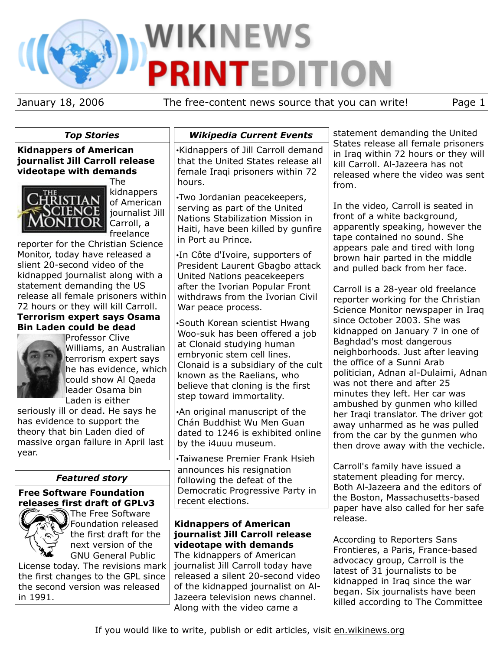# **WIKINEWS PRINTEDITION**

January 18, 2006 The free-content news source that you can write! Page 1

*Top Stories*

**Kidnappers of American journalist Jill Carroll release videotape with demands**



The kidnappers of American journalist Jill Carroll, a freelance

reporter for the Christian Science Monitor, today have released a slient 20-second video of the kidnapped journalist along with a statement demanding the US release all female prisoners within 72 hours or they will kill Carroll.

# **Terrorism expert says Osama Bin Laden could be dead**



Professor Clive Williams, an Australian terrorism expert says he has evidence, which could show Al Qaeda leader Osama bin Laden is either

seriously ill or dead. He says he has evidence to support the theory that bin Laden died of massive organ failure in April last year.

# *Featured story*

### **Free Software Foundation releases first draft of GPLv3**



The Free Software Foundation released the first draft for the next version of the GNU General Public

License today. The revisions mark the first changes to the GPL since the second version was released in 1991.

# *Wikipedia Current Events*

•Kidnappers of Jill Carroll demand that the United States release all female Iraqi prisoners within 72 hours.

•Two Jordanian peacekeepers, serving as part of the United Nations Stabilization Mission in Haiti, have been killed by gunfire in Port au Prince.

•In Côte d'Ivoire, supporters of President Laurent Gbagbo attack United Nations peacekeepers after the Ivorian Popular Front withdraws from the Ivorian Civil War peace process.

•South Korean scientist Hwang Woo-suk has been offered a job at Clonaid studying human embryonic stem cell lines. Clonaid is a subsidiary of the cult known as the Raelians, who believe that cloning is the first step toward immortality.

•An original manuscript of the Chán Buddhist Wu Men Guan dated to 1246 is exhibited online by the i4uuu museum.

•Taiwanese Premier Frank Hsieh announces his resignation following the defeat of the Democratic Progressive Party in recent elections.

# **Kidnappers of American journalist Jill Carroll release videotape with demands**

The kidnappers of American journalist Jill Carroll today have released a silent 20-second video of the kidnapped journalist on Al-Jazeera television news channel. Along with the video came a

statement demanding the United States release all female prisoners in Iraq within 72 hours or they will kill Carroll. Al-Jazeera has not released where the video was sent from.

In the video, Carroll is seated in front of a white background, apparently speaking, however the tape contained no sound. She appears pale and tired with long brown hair parted in the middle and pulled back from her face.

Carroll is a 28-year old freelance reporter working for the Christian Science Monitor newspaper in Iraq since October 2003. She was kidnapped on January 7 in one of Baghdad's most dangerous neighborhoods. Just after leaving the office of a Sunni Arab politician, Adnan al-Dulaimi, Adnan was not there and after 25 minutes they left. Her car was ambushed by gunmen who killed her Iraqi translator. The driver got away unharmed as he was pulled from the car by the gunmen who then drove away with the vechicle.

Carroll's family have issued a statement pleading for mercy. Both Al-Jazeera and the editors of the Boston, Massachusetts-based paper have also called for her safe release.

According to Reporters Sans Frontieres, a Paris, France-based advocacy group, Carroll is the latest of 31 journalists to be kidnapped in Iraq since the war began. Six journalists have been killed according to The Committee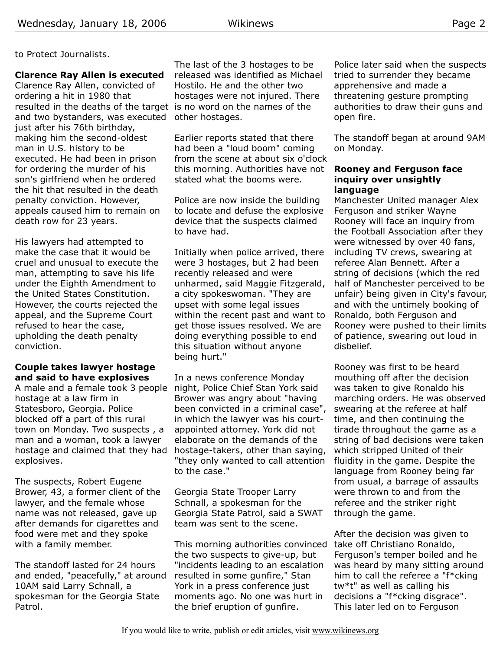**Clarence Ray Allen is executed** Clarence Ray Allen, convicted of ordering a hit in 1980 that resulted in the deaths of the target is no word on the names of the and two bystanders, was executed other hostages. just after his 76th birthday, making him the second-oldest man in U.S. history to be executed. He had been in prison for ordering the murder of his son's girlfriend when he ordered the hit that resulted in the death penalty conviction. However, appeals caused him to remain on death row for 23 years.

His lawyers had attempted to make the case that it would be cruel and unusual to execute the man, attempting to save his life under the Eighth Amendment to the United States Constitution. However, the courts rejected the appeal, and the Supreme Court refused to hear the case, upholding the death penalty conviction.

## **Couple takes lawyer hostage and said to have explosives**

A male and a female took 3 people hostage at a law firm in Statesboro, Georgia. Police blocked off a part of this rural town on Monday. Two suspects , a man and a woman, took a lawyer hostage and claimed that they had explosives.

The suspects, Robert Eugene Brower, 43, a former client of the lawyer, and the female whose name was not released, gave up after demands for cigarettes and food were met and they spoke with a family member.

The standoff lasted for 24 hours and ended, "peacefully," at around 10AM said Larry Schnall, a spokesman for the Georgia State Patrol.

The last of the 3 hostages to be released was identified as Michael Hostilo. He and the other two hostages were not injured. There

Earlier reports stated that there had been a "loud boom" coming from the scene at about six o'clock this morning. Authorities have not stated what the booms were.

Police are now inside the building to locate and defuse the explosive device that the suspects claimed to have had.

Initially when police arrived, there were 3 hostages, but 2 had been recently released and were unharmed, said Maggie Fitzgerald, a city spokeswoman. "They are upset with some legal issues within the recent past and want to get those issues resolved. We are doing everything possible to end this situation without anyone being hurt."

In a news conference Monday night, Police Chief Stan York said Brower was angry about "having been convicted in a criminal case", in which the lawyer was his courtappointed attorney. York did not elaborate on the demands of the hostage-takers, other than saying, "they only wanted to call attention to the case."

Georgia State Trooper Larry Schnall, a spokesman for the Georgia State Patrol, said a SWAT team was sent to the scene.

This morning authorities convinced the two suspects to give-up, but "incidents leading to an escalation resulted in some gunfire," Stan York in a press conference just moments ago. No one was hurt in the brief eruption of gunfire.

Police later said when the suspects tried to surrender they became apprehensive and made a threatening gesture prompting authorities to draw their guns and open fire.

The standoff began at around 9AM on Monday.

### **Rooney and Ferguson face inquiry over unsightly language**

Manchester United manager Alex Ferguson and striker Wayne Rooney will face an inquiry from the Football Association after they were witnessed by over 40 fans, including TV crews, swearing at referee Alan Bennett. After a string of decisions (which the red half of Manchester perceived to be unfair) being given in City's favour, and with the untimely booking of Ronaldo, both Ferguson and Rooney were pushed to their limits of patience, swearing out loud in disbelief.

Rooney was first to be heard mouthing off after the decision was taken to give Ronaldo his marching orders. He was observed swearing at the referee at half time, and then continuing the tirade throughout the game as a string of bad decisions were taken which stripped United of their fluidity in the game. Despite the language from Rooney being far from usual, a barrage of assaults were thrown to and from the referee and the striker right through the game.

After the decision was given to take off Christiano Ronaldo, Ferguson's temper boiled and he was heard by many sitting around him to call the referee a "f\*cking tw\*t" as well as calling his decisions a "f\*cking disgrace". This later led on to Ferguson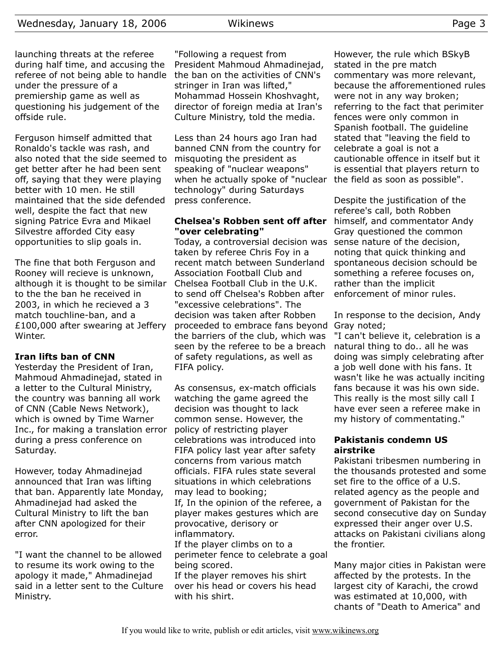launching threats at the referee during half time, and accusing the referee of not being able to handle under the pressure of a premiership game as well as questioning his judgement of the offside rule.

Ferguson himself admitted that Ronaldo's tackle was rash, and also noted that the side seemed to get better after he had been sent off, saying that they were playing better with 10 men. He still maintained that the side defended well, despite the fact that new signing Patrice Evra and Mikael Silvestre afforded City easy opportunities to slip goals in.

The fine that both Ferguson and Rooney will recieve is unknown, although it is thought to be similar to the the ban he received in 2003, in which he recieved a 3 match touchline-ban, and a £100,000 after swearing at Jeffery Winter.

### **Iran lifts ban of CNN**

Yesterday the President of Iran, Mahmoud Ahmadinejad, stated in a letter to the Cultural Ministry, the country was banning all work of CNN (Cable News Network), which is owned by Time Warner Inc., for making a translation error during a press conference on Saturday.

However, today Ahmadinejad announced that Iran was lifting that ban. Apparently late Monday, Ahmadinejad had asked the Cultural Ministry to lift the ban after CNN apologized for their error.

"I want the channel to be allowed to resume its work owing to the apology it made," Ahmadinejad said in a letter sent to the Culture Ministry.

"Following a request from President Mahmoud Ahmadinejad, the ban on the activities of CNN's stringer in Iran was lifted," Mohammad Hossein Khoshvaght, director of foreign media at Iran's Culture Ministry, told the media.

Less than 24 hours ago Iran had banned CNN from the country for misquoting the president as speaking of "nuclear weapons" when he actually spoke of "nuclear technology" during Saturdays press conference.

#### **Chelsea's Robben sent off after "over celebrating"**

Today, a controversial decision was taken by referee Chris Foy in a recent match between Sunderland Association Football Club and Chelsea Football Club in the U.K. to send off Chelsea's Robben after "excessive celebrations". The decision was taken after Robben proceeded to embrace fans beyond the barriers of the club, which was seen by the referee to be a breach of safety regulations, as well as FIFA policy.

As consensus, ex-match officials watching the game agreed the decision was thought to lack common sense. However, the policy of restricting player celebrations was introduced into FIFA policy last year after safety concerns from various match officials. FIFA rules state several situations in which celebrations may lead to booking; If, In the opinion of the referee, a

player makes gestures which are provocative, derisory or inflammatory.

If the player climbs on to a perimeter fence to celebrate a goal being scored.

If the player removes his shirt over his head or covers his head with his shirt.

However, the rule which BSkyB stated in the pre match commentary was more relevant, because the afforementioned rules were not in any way broken; referring to the fact that perimiter fences were only common in Spanish football. The guideline stated that "leaving the field to celebrate a goal is not a cautionable offence in itself but it is essential that players return to the field as soon as possible".

Despite the justification of the referee's call, both Robben himself, and commentator Andy Gray questioned the common sense nature of the decision, noting that quick thinking and spontaneous decision schould be something a referee focuses on, rather than the implicit enforcement of minor rules.

In response to the decision, Andy Gray noted;

"I can't believe it, celebration is a natural thing to do.. all he was doing was simply celebrating after a job well done with his fans. It wasn't like he was actually inciting fans because it was his own side. This really is the most silly call I have ever seen a referee make in my history of commentating."

#### **Pakistanis condemn US airstrike**

Pakistani tribesmen numbering in the thousands protested and some set fire to the office of a U.S. related agency as the people and government of Pakistan for the second consecutive day on Sunday expressed their anger over U.S. attacks on Pakistani civilians along the frontier.

Many major cities in Pakistan were affected by the protests. In the largest city of Karachi, the crowd was estimated at 10,000, with chants of "Death to America" and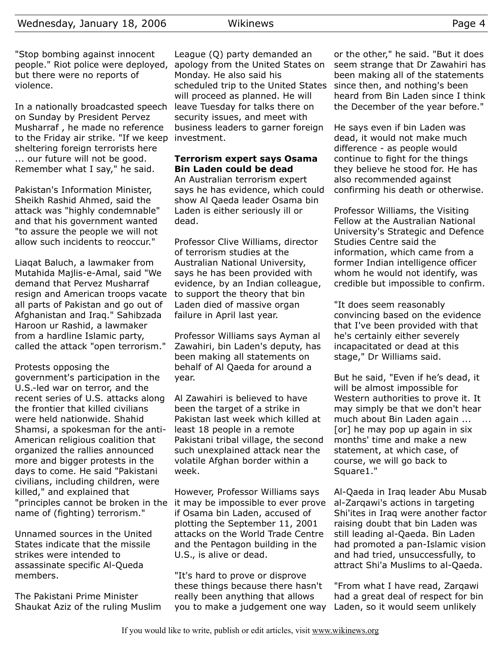"Stop bombing against innocent people." Riot police were deployed, apology from the United States on but there were no reports of violence.

In a nationally broadcasted speech on Sunday by President Pervez Musharraf , he made no reference to the Friday air strike. "If we keep investment. sheltering foreign terrorists here ... our future will not be good. Remember what I say," he said.

Pakistan's Information Minister, Sheikh Rashid Ahmed, said the attack was "highly condemnable" and that his government wanted "to assure the people we will not allow such incidents to reoccur."

Liaqat Baluch, a lawmaker from Mutahida Majlis-e-Amal, said "We demand that Pervez Musharraf resign and American troops vacate all parts of Pakistan and go out of Afghanistan and Iraq." Sahibzada Haroon ur Rashid, a lawmaker from a hardline Islamic party, called the attack "open terrorism."

Protests opposing the government's participation in the U.S.-led war on terror, and the recent series of U.S. attacks along the frontier that killed civilians were held nationwide. Shahid Shamsi, a spokesman for the anti-American religious coalition that organized the rallies announced more and bigger protests in the days to come. He said "Pakistani civilians, including children, were killed," and explained that "principles cannot be broken in the name of (fighting) terrorism."

Unnamed sources in the United States indicate that the missile strikes were intended to assassinate specific Al-Queda members.

The Pakistani Prime Minister Shaukat Aziz of the ruling Muslim

League (Q) party demanded an Monday. He also said his scheduled trip to the United States will proceed as planned. He will leave Tuesday for talks there on security issues, and meet with business leaders to garner foreign

## **Terrorism expert says Osama Bin Laden could be dead**

An Australian terrorism expert says he has evidence, which could show Al Qaeda leader Osama bin Laden is either seriously ill or dead.

Professor Clive Williams, director of terrorism studies at the Australian National University, says he has been provided with evidence, by an Indian colleague, to support the theory that bin Laden died of massive organ failure in April last year.

Professor Williams says Ayman al Zawahiri, bin Laden's deputy, has been making all statements on behalf of Al Qaeda for around a year.

Al Zawahiri is believed to have been the target of a strike in Pakistan last week which killed at least 18 people in a remote Pakistani tribal village, the second such unexplained attack near the volatile Afghan border within a week.

However, Professor Williams says it may be impossible to ever prove if Osama bin Laden, accused of plotting the September 11, 2001 attacks on the World Trade Centre and the Pentagon building in the U.S., is alive or dead.

"It's hard to prove or disprove these things because there hasn't really been anything that allows you to make a judgement one way

or the other," he said. "But it does seem strange that Dr Zawahiri has been making all of the statements since then, and nothing's been heard from Bin Laden since I think the December of the year before."

He says even if bin Laden was dead, it would not make much difference - as people would continue to fight for the things they believe he stood for. He has also recommended against confirming his death or otherwise.

Professor Williams, the Visiting Fellow at the Australian National University's Strategic and Defence Studies Centre said the information, which came from a former Indian intelligence officer whom he would not identify, was credible but impossible to confirm.

"It does seem reasonably convincing based on the evidence that I've been provided with that he's certainly either severely incapacitated or dead at this stage," Dr Williams said.

But he said, "Even if he's dead, it will be almost impossible for Western authorities to prove it. It may simply be that we don't hear much about Bin Laden again ... [or] he may pop up again in six months' time and make a new statement, at which case, of course, we will go back to Square1."

Al-Qaeda in Iraq leader Abu Musab al-Zarqawi's actions in targeting Shi'ites in Iraq were another factor raising doubt that bin Laden was still leading al-Qaeda. Bin Laden had promoted a pan-Islamic vision and had tried, unsuccessfully, to attract Shi'a Muslims to al-Qaeda.

"From what I have read, Zarqawi had a great deal of respect for bin Laden, so it would seem unlikely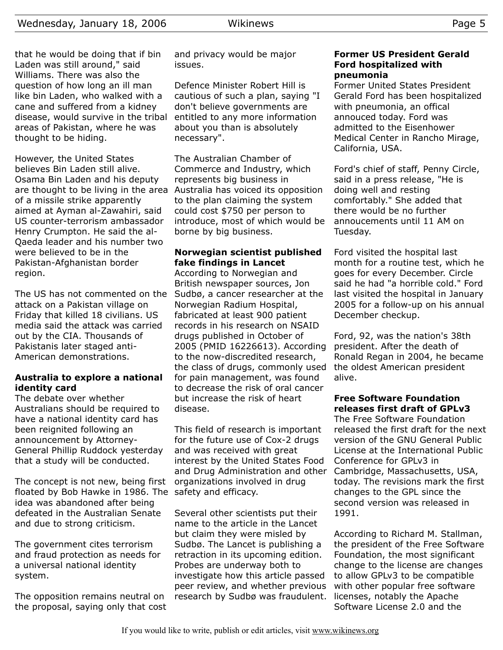that he would be doing that if bin Laden was still around," said Williams. There was also the question of how long an ill man like bin Laden, who walked with a cane and suffered from a kidney disease, would survive in the tribal areas of Pakistan, where he was thought to be hiding.

However, the United States believes Bin Laden still alive. Osama Bin Laden and his deputy are thought to be living in the area Australia has voiced its opposition of a missile strike apparently aimed at Ayman al-Zawahiri, said US counter-terrorism ambassador Henry Crumpton. He said the al-Qaeda leader and his number two were believed to be in the Pakistan-Afghanistan border region.

The US has not commented on the attack on a Pakistan village on Friday that killed 18 civilians. US media said the attack was carried out by the CIA. Thousands of Pakistanis later staged anti-American demonstrations.

#### **Australia to explore a national identity card**

The debate over whether Australians should be required to have a national identity card has been reignited following an announcement by Attorney-General Phillip Ruddock yesterday that a study will be conducted.

The concept is not new, being first floated by Bob Hawke in 1986. The safety and efficacy. idea was abandoned after being defeated in the Australian Senate and due to strong criticism.

The government cites terrorism and fraud protection as needs for a universal national identity system.

The opposition remains neutral on the proposal, saying only that cost and privacy would be major issues.

Defence Minister Robert Hill is cautious of such a plan, saying "I don't believe governments are entitled to any more information about you than is absolutely necessary".

The Australian Chamber of Commerce and Industry, which represents big business in to the plan claiming the system could cost \$750 per person to introduce, most of which would be borne by big business.

#### **Norwegian scientist published fake findings in Lancet**

According to Norwegian and British newspaper sources, Jon Sudbø, a cancer researcher at the Norwegian Radium Hospital, fabricated at least 900 patient records in his research on NSAID drugs published in October of 2005 (PMID 16226613). According to the now-discredited research, the class of drugs, commonly used for pain management, was found to decrease the risk of oral cancer but increase the risk of heart disease.

This field of research is important for the future use of Cox-2 drugs and was received with great interest by the United States Food and Drug Administration and other organizations involved in drug

Several other scientists put their name to the article in the Lancet but claim they were misled by Sudbø. The Lancet is publishing a retraction in its upcoming edition. Probes are underway both to investigate how this article passed peer review, and whether previous research by Sudbø was fraudulent.

#### **Former US President Gerald Ford hospitalized with pneumonia**

Former United States President Gerald Ford has been hospitalized with pneumonia, an offical annouced today. Ford was admitted to the Eisenhower Medical Center in Rancho Mirage, California, USA.

Ford's chief of staff, Penny Circle, said in a press release, "He is doing well and resting comfortably." She added that there would be no further annoucements until 11 AM on Tuesday.

Ford visited the hospital last month for a routine test, which he goes for every December. Circle said he had "a horrible cold." Ford last visited the hospital in January 2005 for a follow-up on his annual December checkup.

Ford, 92, was the nation's 38th president. After the death of Ronald Regan in 2004, he became the oldest American president alive.

### **Free Software Foundation releases first draft of GPLv3**

The Free Software Foundation released the first draft for the next version of the GNU General Public License at the International Public Conference for GPLv3 in Cambridge, Massachusetts, USA, today. The revisions mark the first changes to the GPL since the second version was released in 1991.

According to Richard M. Stallman, the president of the Free Software Foundation, the most significant change to the license are changes to allow GPLv3 to be compatible with other popular free software licenses, notably the Apache Software License 2.0 and the